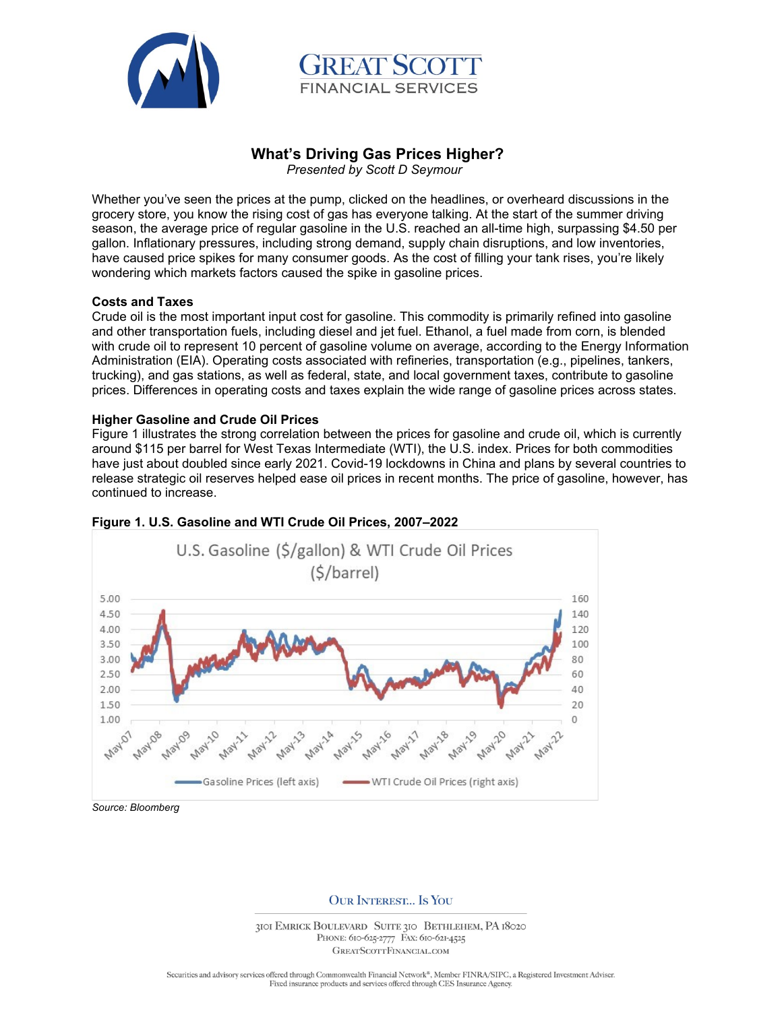



# **What's Driving Gas Prices Higher?**

 *Presented by Scott D Seymour* 

Whether you've seen the prices at the pump, clicked on the headlines, or overheard discussions in the grocery store, you know the rising cost of gas has everyone talking. At the start of the summer driving season, the average price of regular gasoline in the U.S. reached an all-time high, surpassing \$4.50 per gallon. Inflationary pressures, including strong demand, supply chain disruptions, and low inventories, have caused price spikes for many consumer goods. As the cost of filling your tank rises, you're likely wondering which markets factors caused the spike in gasoline prices.

## **Costs and Taxes**

Crude oil is the most important input cost for gasoline. This commodity is primarily refined into gasoline and other transportation fuels, including diesel and jet fuel. Ethanol, a fuel made from corn, is blended with crude oil to represent 10 percent of gasoline volume on average, according to the Energy Information Administration (EIA). Operating costs associated with refineries, transportation (e.g., pipelines, tankers, trucking), and gas stations, as well as federal, state, and local government taxes, contribute to gasoline prices. Differences in operating costs and taxes explain the wide range of gasoline prices across states.

## **Higher Gasoline and Crude Oil Prices**

Figure 1 illustrates the strong correlation between the prices for gasoline and crude oil, which is currently around \$115 per barrel for West Texas Intermediate (WTI), the U.S. index. Prices for both commodities have just about doubled since early 2021. Covid-19 lockdowns in China and plans by several countries to release strategic oil reserves helped ease oil prices in recent months. The price of gasoline, however, has continued to increase.



## **Figure 1. U.S. Gasoline and WTI Crude Oil Prices, 2007–2022**

**OUR INTEREST... IS YOU** 

3101 EMRICK BOULEVARD SUITE 310 BETHLEHEM, PA 18020 PHONE: 610-625-2777 FAX: 610-621-4525 GREATSCOTTFINANCIAL.COM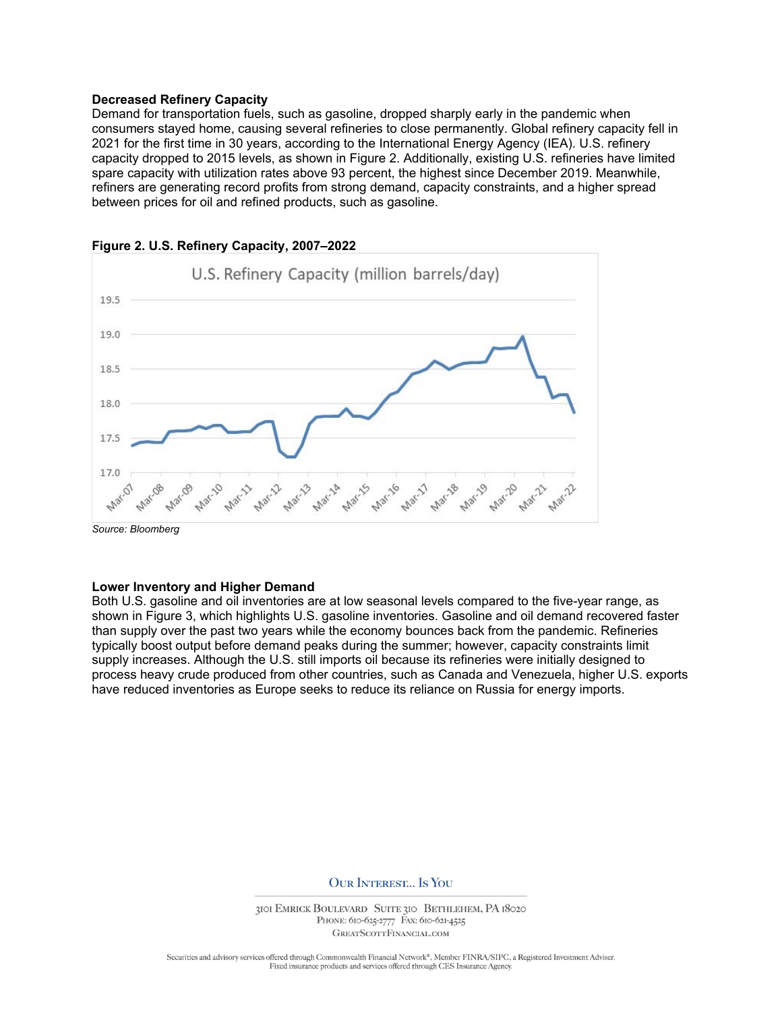#### **Decreased Refinery Capacity**

Demand for transportation fuels, such as gasoline, dropped sharply early in the pandemic when consumers stayed home, causing several refineries to close permanently. Global refinery capacity fell in 2021 for the first time in 30 years, according to the International Energy Agency (IEA). U.S. refinery capacity dropped to 2015 levels, as shown in Figure 2. Additionally, existing U.S. refineries have limited spare capacity with utilization rates above 93 percent, the highest since December 2019. Meanwhile, refiners are generating record profits from strong demand, capacity constraints, and a higher spread between prices for oil and refined products, such as gasoline.



**Figure 2. U.S. Refinery Capacity, 2007–2022**

#### **Lower Inventory and Higher Demand**

Both U.S. gasoline and oil inventories are at low seasonal levels compared to the five-year range, as shown in Figure 3, which highlights U.S. gasoline inventories. Gasoline and oil demand recovered faster than supply over the past two years while the economy bounces back from the pandemic. Refineries typically boost output before demand peaks during the summer; however, capacity constraints limit supply increases. Although the U.S. still imports oil because its refineries were initially designed to process heavy crude produced from other countries, such as Canada and Venezuela, higher U.S. exports have reduced inventories as Europe seeks to reduce its reliance on Russia for energy imports.

**OUR INTEREST... IS YOU** 

3101 EMRICK BOULEVARD SUITE 310 BETHLEHEM, PA 18020 PHONE: 610-625-2777 FAX: 610-621-4525 GREATSCOTTFINANCIAL.COM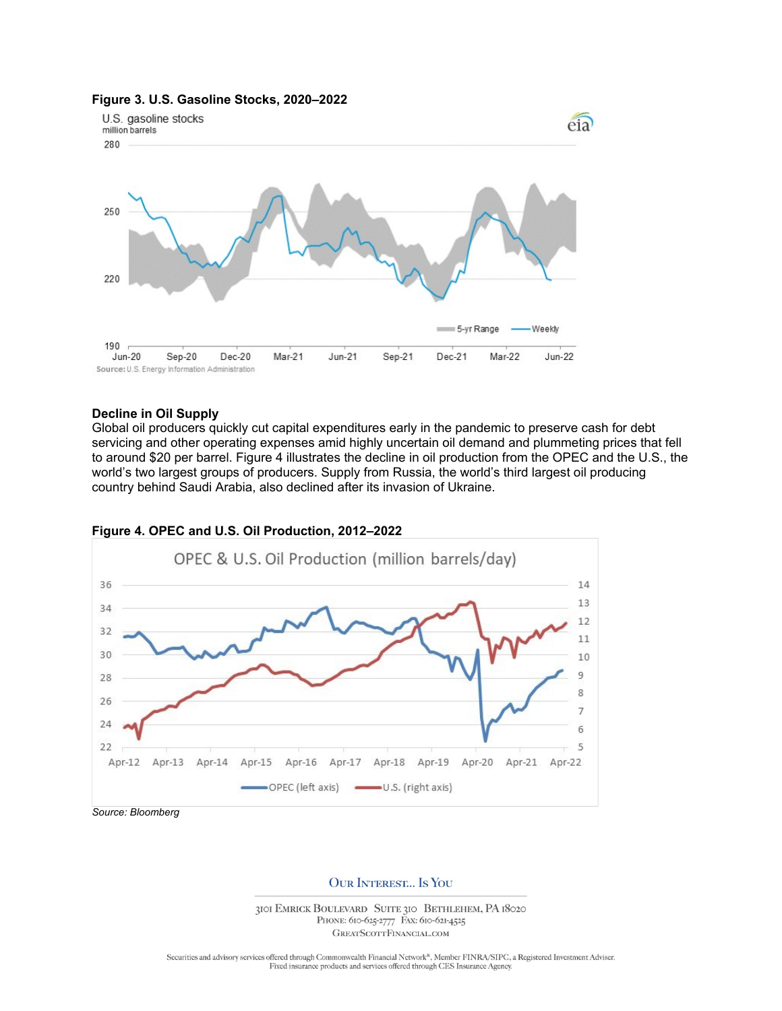

#### **Figure 3. U.S. Gasoline Stocks, 2020–2022**

## **Decline in Oil Supply**

Global oil producers quickly cut capital expenditures early in the pandemic to preserve cash for debt servicing and other operating expenses amid highly uncertain oil demand and plummeting prices that fell to around \$20 per barrel. Figure 4 illustrates the decline in oil production from the OPEC and the U.S., the world's two largest groups of producers. Supply from Russia, the world's third largest oil producing country behind Saudi Arabia, also declined after its invasion of Ukraine.



# **Figure 4. OPEC and U.S. Oil Production, 2012–2022**

**OUR INTEREST... IS YOU** 

3101 EMRICK BOULEVARD SUITE 310 BETHLEHEM, PA 18020 PHONE: 610-625-2777 FAX: 610-621-4525 GREATSCOTTFINANCIAL.COM

Securities and advisory services offered through Commonwealth Financial Network®, Member FINRA/SIPC, a Registered Investment Adviser. Fixed insurance products and services offered through CES Insurance Agency.